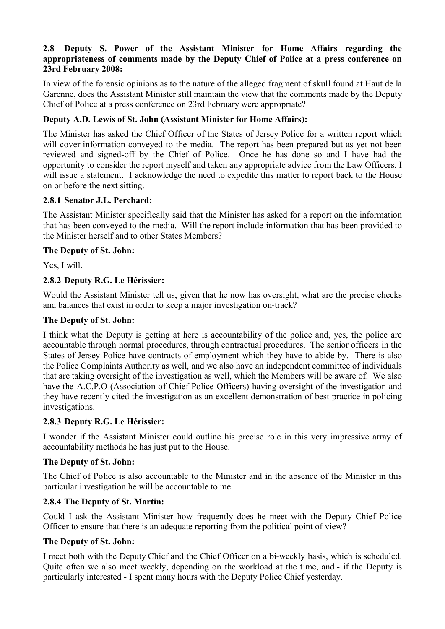## **2.8 Deputy S. Power of the Assistant Minister for Home Affairs regarding the appropriateness of comments made by the Deputy Chief of Police at a press conference on 23rd February 2008:**

In view of the forensic opinions as to the nature of the alleged fragment of skull found at Haut de la Garenne, does the Assistant Minister still maintain the view that the comments made by the Deputy Chief of Police at a press conference on 23rd February were appropriate?

# **Deputy A.D. Lewis of St. John (Assistant Minister for Home Affairs):**

The Minister has asked the Chief Officer of the States of Jersey Police for a written report which will cover information conveyed to the media. The report has been prepared but as yet not been reviewed and signed-off by the Chief of Police. Once he has done so and I have had the opportunity to consider the report myself and taken any appropriate advice from the Law Officers, I will issue a statement. I acknowledge the need to expedite this matter to report back to the House on or before the next sitting.

## **2.8.1 Senator J.L. Perchard:**

The Assistant Minister specifically said that the Minister has asked for a report on the information that has been conveyed to the media. Will the report include information that has been provided to the Minister herself and to other States Members?

# **The Deputy of St. John:**

Yes, I will.

# **2.8.2 Deputy R.G. Le Hérissier:**

Would the Assistant Minister tell us, given that he now has oversight, what are the precise checks and balances that exist in order to keep a major investigation on-track?

## **The Deputy of St. John:**

I think what the Deputy is getting at here is accountability of the police and, yes, the police are accountable through normal procedures, through contractual procedures. The senior officers in the States of Jersey Police have contracts of employment which they have to abide by. There is also the Police Complaints Authority as well, and we also have an independent committee of individuals that are taking oversight of the investigation as well, which the Members will be aware of. We also have the A.C.P.O (Association of Chief Police Officers) having oversight of the investigation and they have recently cited the investigation as an excellent demonstration of best practice in policing investigations.

## **2.8.3 Deputy R.G. Le Hérissier:**

I wonder if the Assistant Minister could outline his precise role in this very impressive array of accountability methods he has just put to the House.

## **The Deputy of St. John:**

The Chief of Police is also accountable to the Minister and in the absence of the Minister in this particular investigation he will be accountable to me.

## **2.8.4 The Deputy of St. Martin:**

Could I ask the Assistant Minister how frequently does he meet with the Deputy Chief Police Officer to ensure that there is an adequate reporting from the political point of view?

## **The Deputy of St. John:**

I meet both with the Deputy Chief and the Chief Officer on a bi-weekly basis, which is scheduled. Quite often we also meet weekly, depending on the workload at the time, and - if the Deputy is particularly interested - I spent many hours with the Deputy Police Chief yesterday.